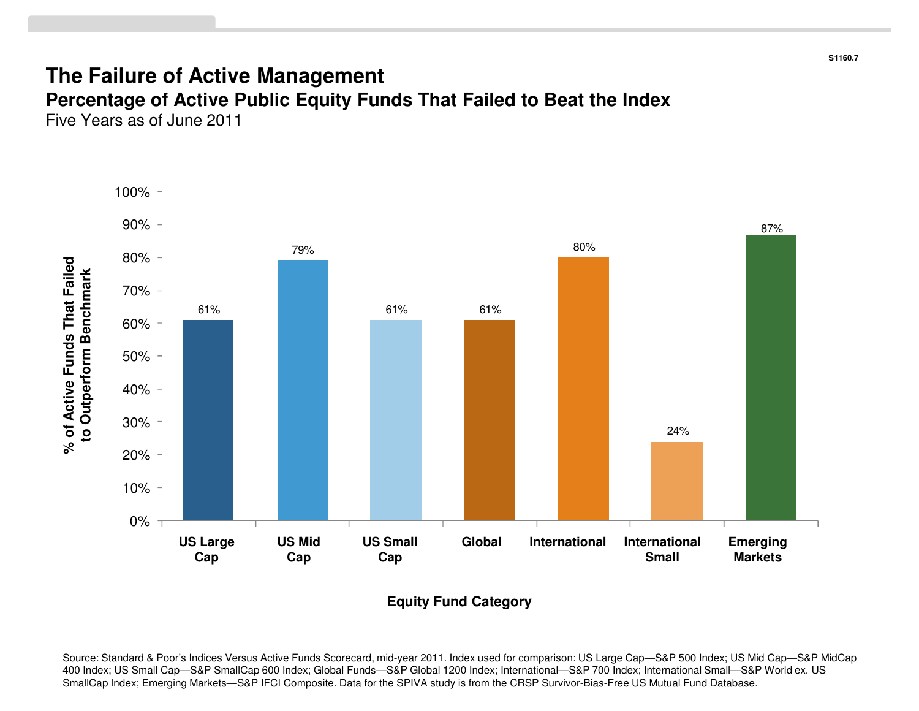#### **The Failure of Active Management**

 **Percentage of Active Public Equity Funds That Failed to Beat the Index**Five Years as of June 2011



**Equity Fund Category**

Source: Standard & Poor's Indices Versus Active Funds Scorecard, mid-year 2011. Index used for comparison: US Large Cap—S&P 500 Index; US Mid Cap—S&P MidCap 400 Index; US Small Cap—S&P SmallCap 600 Index; Global Funds—S&P Global 1200 Index; International—S&P 700 Index; International Small—S&P World ex. US SmallCap Index; Emerging Markets—S&P IFCI Composite. Data for the SPIVA study is from the CRSP Survivor-Bias-Free US Mutual Fund Database.

**S1160.7**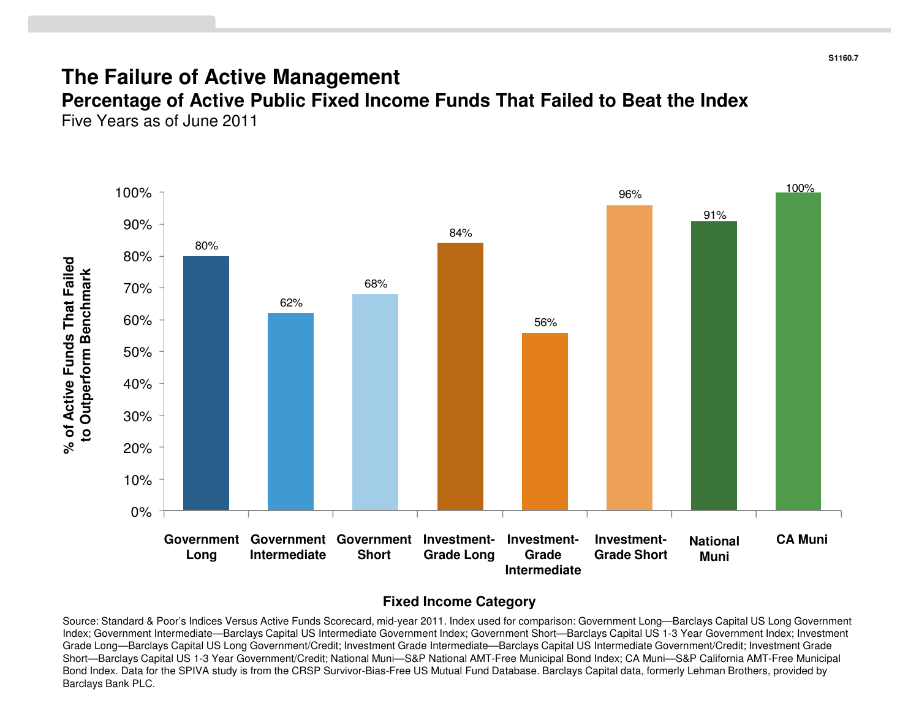#### **The Failure of Active Management**

 **Percentage of Active Public Fixed Income Funds That Failed to Beat the Index**Five Years as of June 2011



#### **Fixed Income Category**

Source: Standard & Poor's Indices Versus Active Funds Scorecard, mid-year 2011. Index used for comparison: Government Long—Barclays Capital US Long Government Index; Government Intermediate—Barclays Capital US Intermediate Government Index; Government Short—Barclays Capital US 1-3 Year Government Index; Investment Grade Long—Barclays Capital US Long Government/Credit; Investment Grade Intermediate—Barclays Capital US Intermediate Government/Credit; Investment Grade Short—Barclays Capital US 1-3 Year Government/Credit; National Muni—S&P National AMT-Free Municipal Bond Index; CA Muni—S&P California AMT-Free Municipal Bond Index. Data for the SPIVA study is from the CRSP Survivor-Bias-Free US Mutual Fund Database. Barclays Capital data, formerly Lehman Brothers, provided by Barclays Bank PLC.

**S1160.7**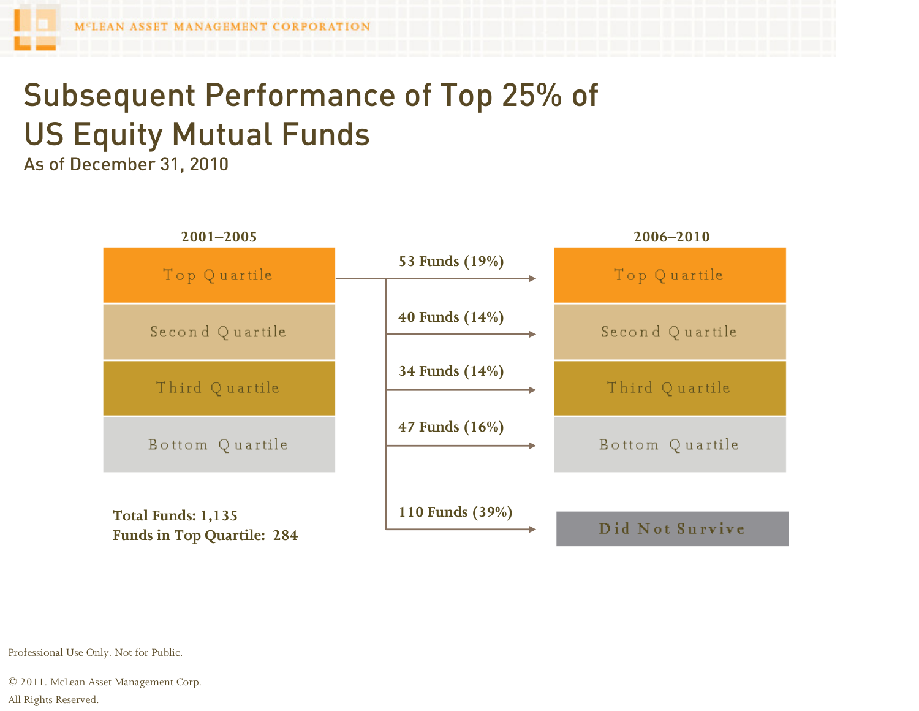## Subsequent Performance of Top 25% of US Equity Mutual Funds

As of December 31, 2010



Professional Use Only. Not for Public.

© 2011. McLean Asset Management Corp. All Rights Reserved.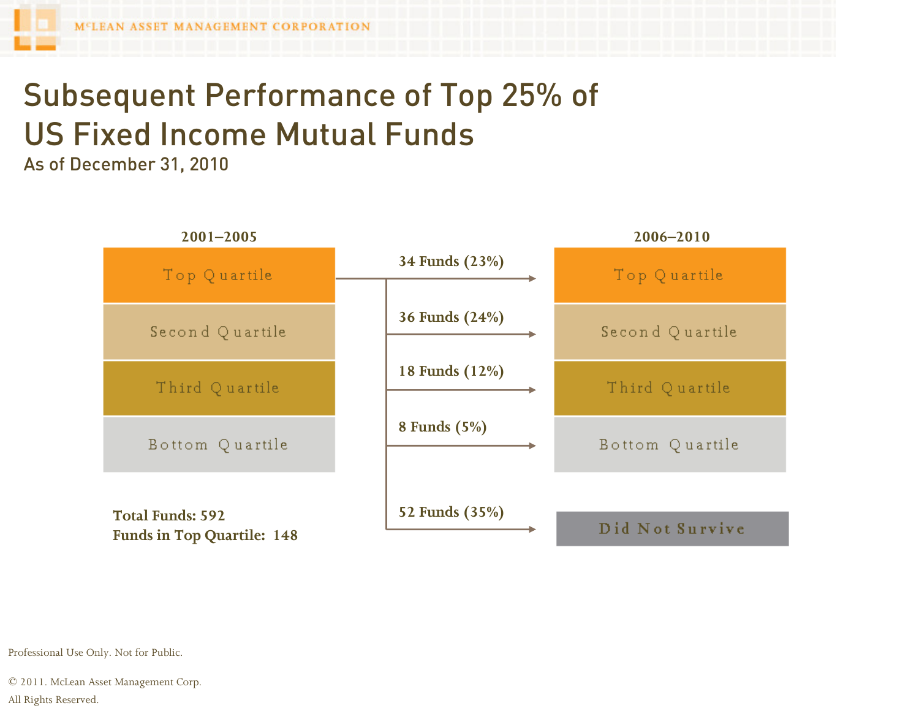### Subsequent Performance of Top 25% of US Fixed Income Mutual Funds

As of December 31, 2010



Professional Use Only. Not for Public.

© 2011. McLean Asset Management Corp. All Rights Reserved.